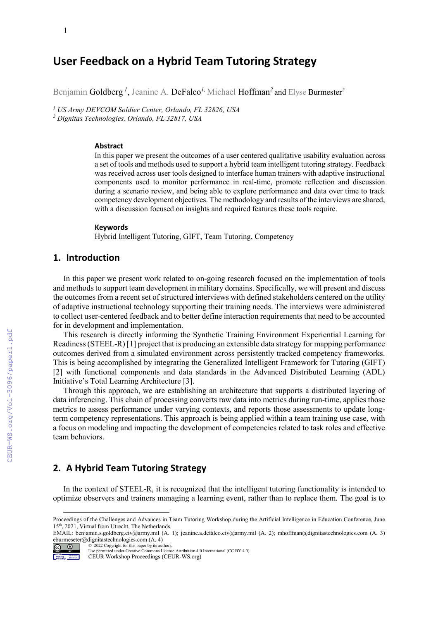# **User Feedback on a Hybrid Team Tutoring Strategy**

Benjamin Goldberg *<sup>1</sup>* , Jeanine A. DeFalco*1,* Michael Hoffman*<sup>2</sup>* and Elyse Burmester *2*

*<sup>1</sup> US Army DEVCOM Soldier Center, Orlando, FL 32826, USA <sup>2</sup> Dignitas Technologies, Orlando, FL 32817, USA*

#### **Abstract**

In this paper we present the outcomes of a user centered qualitative usability evaluation across a set of tools and methods used to support a hybrid team intelligent tutoring strategy. Feedback was received across user tools designed to interface human trainers with adaptive instructional components used to monitor performance in real-time, promote reflection and discussion during a scenario review, and being able to explore performance and data over time to track competency development objectives. The methodology and results of the interviews are shared, with a discussion focused on insights and required features these tools require.

#### **Keywords**

Hybrid Intelligent Tutoring, GIFT, Team Tutoring, Competency [1](#page-0-0)

### **1. Introduction**

In this paper we present work related to on-going research focused on the implementation of tools and methods to support team development in military domains. Specifically, we will present and discuss the outcomes from a recent set of structured interviews with defined stakeholders centered on the utility of adaptive instructional technology supporting their training needs. The interviews were administered to collect user-centered feedback and to better define interaction requirements that need to be accounted for in development and implementation.

This research is directly informing the Synthetic Training Environment Experiential Learning for Readiness (STEEL-R) [1] project that is producing an extensible data strategy for mapping performance outcomes derived from a simulated environment across persistently tracked competency frameworks. This is being accomplished by integrating the Generalized Intelligent Framework for Tutoring (GIFT) [2] with functional components and data standards in the Advanced Distributed Learning (ADL) Initiative's Total Learning Architecture [3].

Through this approach, we are establishing an architecture that supports a distributed layering of data inferencing. This chain of processing converts raw data into metrics during run-time, applies those metrics to assess performance under varying contexts, and reports those assessments to update longterm competency representations. This approach is being applied within a team training use case, with a focus on modeling and impacting the development of competencies related to task roles and effective team behaviors.

### **2. A Hybrid Team Tutoring Strategy**

In the context of STEEL-R, it is recognized that the intelligent tutoring functionality is intended to optimize observers and trainers managing a learning event, rather than to replace them. The goal is to

EMAIL: benjamin.s.goldberg.civ@army.mil (A. 1); jeanine.a.defalco.civ@army.mil (A. 2); mhoffman@dignitastechnologies.com (A. 3) eburmeseter@dignitastechnologies.com  $(A, 4)$ <br>  $\bigodot \bigodot$   $0$   $2022$  Copyright for this paper by its aut © 2022 Copyright for this paper by its authors.



Use permitted under Creative Commons License Attribution 4.0 International (CC BY 4.0).

CEUR Workshop Proceedings (CEUR-WS.org)

<span id="page-0-0"></span>Proceedings of the Challenges and Advances in Team Tutoring Workshop during the Artificial Intelligence in Education Conference, June 15th, 2021, Virtual from Utrecht, The Netherlands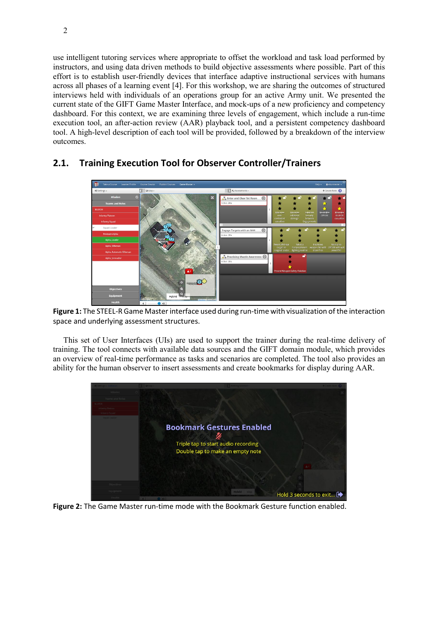use intelligent tutoring services where appropriate to offset the workload and task load performed by instructors, and using data driven methods to build objective assessments where possible. Part of this effort is to establish user-friendly devices that interface adaptive instructional services with humans across all phases of a learning event [4]. For this workshop, we are sharing the outcomes of structured interviews held with individuals of an operations group for an active Army unit. We presented the current state of the GIFT Game Master Interface, and mock-ups of a new proficiency and competency dashboard. For this context, we are examining three levels of engagement, which include a run-time execution tool, an after-action review (AAR) playback tool, and a persistent competency dashboard tool. A high-level description of each tool will be provided, followed by a breakdown of the interview outcomes.



# **2.1. Training Execution Tool for Observer Controller/Trainers**

**Figure 1:** The STEEL-R Game Master interface used during run-time with visualization of the interaction space and underlying assessment structures.

This set of User Interfaces (UIs) are used to support the trainer during the real-time delivery of training. The tool connects with available data sources and the GIFT domain module, which provides an overview of real-time performance as tasks and scenarios are completed. The tool also provides an ability for the human observer to insert assessments and create bookmarks for display during AAR.



**Figure 2:** The Game Master run-time mode with the Bookmark Gesture function enabled.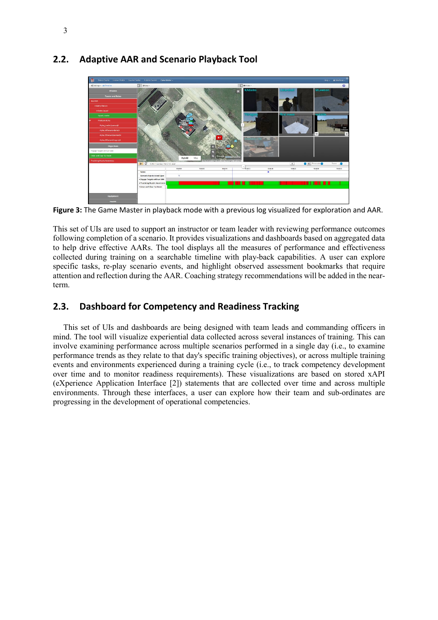

## **2.2. Adaptive AAR and Scenario Playback Tool**

**Figure 3:** The Game Master in playback mode with a previous log visualized for exploration and AAR.

This set of UIs are used to support an instructor or team leader with reviewing performance outcomes following completion of a scenario. It provides visualizations and dashboards based on aggregated data to help drive effective AARs. The tool displays all the measures of performance and effectiveness collected during training on a searchable timeline with play-back capabilities. A user can explore specific tasks, re-play scenario events, and highlight observed assessment bookmarks that require attention and reflection during the AAR. Coaching strategy recommendations will be added in the nearterm.

## **2.3. Dashboard for Competency and Readiness Tracking**

This set of UIs and dashboards are being designed with team leads and commanding officers in mind. The tool will visualize experiential data collected across several instances of training. This can involve examining performance across multiple scenarios performed in a single day (i.e., to examine performance trends as they relate to that day's specific training objectives), or across multiple training events and environments experienced during a training cycle (i.e., to track competency development over time and to monitor readiness requirements). These visualizations are based on stored xAPI (eXperience Application Interface [2]) statements that are collected over time and across multiple environments. Through these interfaces, a user can explore how their team and sub-ordinates are progressing in the development of operational competencies.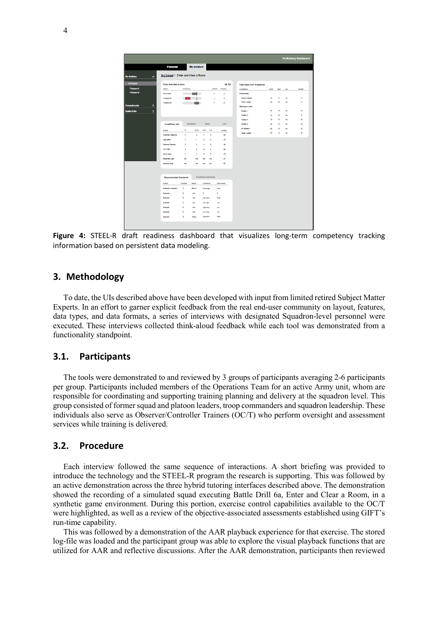|                                                    |                         |                |                  |                            |                    |                                   |               |                 | <b>Proficiency Dashboard</b> |
|----------------------------------------------------|-------------------------|----------------|------------------|----------------------------|--------------------|-----------------------------------|---------------|-----------------|------------------------------|
| <b>Personal</b>                                    |                         | My soldiers    |                  |                            |                    |                                   |               |                 |                              |
| 3rd Squad / Enter and Clear a Room<br>$\checkmark$ |                         |                |                  |                            |                    |                                   |               |                 |                              |
| Enter and clear a room                             |                         |                |                  |                            | <b>MIM</b>         | <b>Task Steps over 8 sessions</b> |               |                 |                              |
| <b>Squad</b>                                       | Proficiency             |                |                  | Overall                    | Transfer           | Competence                        | <b>System</b> | <b>Sweet</b>    | Ure                          |
| <b>3rd Squad</b>                                   |                         |                |                  | p                          | as                 | Positioning                       |               |                 |                              |
| <b>Findeen A</b>                                   | $\blacksquare$          |                |                  | $\cup$                     | 22                 | <b>Squed Leader</b>               | w             | 52              | <b>AB</b>                    |
| <b>Finderm B</b>                                   |                         |                |                  | P                          | 53                 | Team Leader                       | <b>M</b>      | 20 <sup>2</sup> | <b>nk</b>                    |
|                                                    |                         |                |                  |                            |                    | Clearing a room                   |               |                 |                              |
| $\overline{ }$                                     |                         |                |                  |                            |                    | <b>Solder 1</b>                   | w             | NG.             | <b>AB</b>                    |
|                                                    |                         |                |                  |                            |                    | Soldier 2                         | 4t            | 22              | nh.                          |
|                                                    |                         |                |                  |                            |                    | Solder 3                          | 76            | 52              | <b>ON</b>                    |
| Conditions (all)                                   |                         | Synthetic      | Semi             |                            | Live               | <b>Solder 4</b>                   | w             | 20 <sup>2</sup> | nh.                          |
| Activity                                           | $\overline{a}$          | <b>Syndh</b>   | <b>Senior</b>    | Line                       | Transfer           | <b>All soldiers</b>               | $\sim$        | 52              | <b>AB</b>                    |
| <b>Indemnet Weather</b>                            | ы                       | $\overline{2}$ | ٠                | $\circ$                    | $\bullet$          | <b>Team Leader</b>                | <b>GO</b>     | 12              | nh                           |
| <b>High Wind</b>                                   | ٠                       | ×              | ۰                | $\circ$                    | 75                 |                                   |               |                 |                              |
| <b>Extreme Weather</b>                             | в                       | $\overline{2}$ | ٠                | $\circ$                    | 25                 |                                   |               |                 |                              |
| Low Light                                          | $\overline{a}$          | $\overline{a}$ | $\circ$          | $\circ$                    | ×.                 |                                   |               |                 |                              |
| Good Light                                         | ٠                       | $\mathbf{r}$   | $\circ$          | $\circ$                    | $\overline{a}$     |                                   |               |                 |                              |
| Moderate Light                                     | <b>DOM</b>              | o's            | <b>DAY</b>       | <b>DO</b>                  | AT.                |                                   |               |                 |                              |
| <b>Extreme Heat</b>                                | <b>AN</b>               |                |                  | <b>Adm</b>                 | SA                 |                                   |               |                 |                              |
|                                                    |                         | n/a            | nh               |                            |                    |                                   |               |                 |                              |
|                                                    |                         |                |                  |                            |                    |                                   |               |                 |                              |
| <b>Recommended Scenarios</b>                       |                         |                |                  | <b>Practiced Scenarios</b> |                    |                                   |               |                 |                              |
| <b>Activity</b>                                    | Practiced               | Result         | Conditions       |                            | <b>Brytronment</b> |                                   |               |                 |                              |
| Instruction Needed                                 | $\overline{\mathbf{z}}$ | Above          | Kriswiedge       |                            | Seni.              |                                   |               |                 |                              |
| Scenario                                           | $\circ$                 | nh             | 3                | $\overline{\phantom{a}}$   |                    |                                   |               |                 |                              |
| Scenario                                           | $\circ$                 | nh             | High Wind        |                            | Syd5               |                                   |               |                 |                              |
| Scenario                                           | $\circ$                 | nh             | <b>Low Light</b> | UH                         |                    |                                   |               |                 |                              |
| Scenario                                           | $\circ$                 | <b>DO</b>      | High Tierro      | <b>Live</b>                |                    |                                   |               |                 |                              |
| Scenario                                           | $\circ$                 | nh             | Low Temp         | Ure                        |                    |                                   |               |                 |                              |
|                                                    | $\mathbf{3}$            | Pass           | High Wind        | Systs.                     |                    |                                   |               |                 |                              |

**Figure 4:** STEEL-R draft readiness dashboard that visualizes long-term competency tracking information based on persistent data modeling.

### **3. Methodology**

To date, the UIs described above have been developed with input from limited retired Subject Matter Experts. In an effort to garner explicit feedback from the real end-user community on layout, features, data types, and data formats, a series of interviews with designated Squadron-level personnel were executed. These interviews collected think-aloud feedback while each tool was demonstrated from a functionality standpoint.

### **3.1. Participants**

The tools were demonstrated to and reviewed by 3 groups of participants averaging 2-6 participants per group. Participants included members of the Operations Team for an active Army unit, whom are responsible for coordinating and supporting training planning and delivery at the squadron level. This group consisted of former squad and platoon leaders, troop commanders and squadron leadership. These individuals also serve as Observer/Controller Trainers (OC/T) who perform oversight and assessment services while training is delivered.

### **3.2. Procedure**

Each interview followed the same sequence of interactions. A short briefing was provided to introduce the technology and the STEEL-R program the research is supporting. This was followed by an active demonstration across the three hybrid tutoring interfaces described above. The demonstration showed the recording of a simulated squad executing Battle Drill 6a, Enter and Clear a Room, in a synthetic game environment. During this portion, exercise control capabilities available to the OC/T were highlighted, as well as a review of the objective-associated assessments established using GIFT's run-time capability.

This was followed by a demonstration of the AAR playback experience for that exercise. The stored log-file was loaded and the participant group was able to explore the visual playback functions that are utilized for AAR and reflective discussions. After the AAR demonstration, participants then reviewed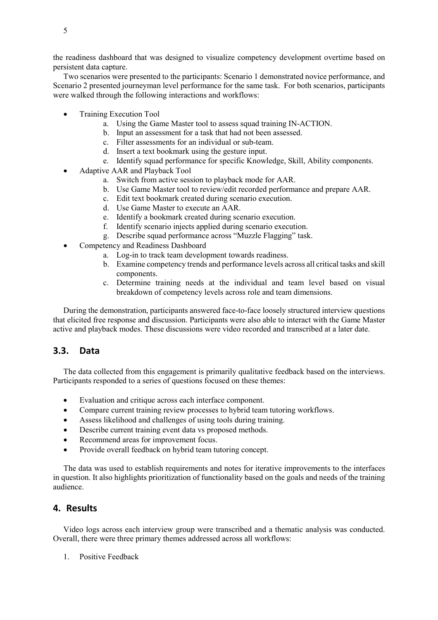the readiness dashboard that was designed to visualize competency development overtime based on persistent data capture.

Two scenarios were presented to the participants: Scenario 1 demonstrated novice performance, and Scenario 2 presented journeyman level performance for the same task. For both scenarios, participants were walked through the following interactions and workflows:

- Training Execution Tool
	- a. Using the Game Master tool to assess squad training IN-ACTION.
	- b. Input an assessment for a task that had not been assessed.
	- c. Filter assessments for an individual or sub-team.
	- d. Insert a text bookmark using the gesture input.
	- e. Identify squad performance for specific Knowledge, Skill, Ability components.
- Adaptive AAR and Playback Tool
	- a. Switch from active session to playback mode for AAR.
	- b. Use Game Master tool to review/edit recorded performance and prepare AAR.
	- c. Edit text bookmark created during scenario execution.
	- d. Use Game Master to execute an AAR.
	- e. Identify a bookmark created during scenario execution.
	- f. Identify scenario injects applied during scenario execution.
	- g. Describe squad performance across "Muzzle Flagging" task.
- Competency and Readiness Dashboard
	- a. Log-in to track team development towards readiness.
	- b. Examine competency trends and performance levels across all critical tasks and skill components.
	- c. Determine training needs at the individual and team level based on visual breakdown of competency levels across role and team dimensions.

During the demonstration, participants answered face-to-face loosely structured interview questions that elicited free response and discussion. Participants were also able to interact with the Game Master active and playback modes. These discussions were video recorded and transcribed at a later date.

### **3.3. Data**

The data collected from this engagement is primarily qualitative feedback based on the interviews. Participants responded to a series of questions focused on these themes:

- Evaluation and critique across each interface component.
- Compare current training review processes to hybrid team tutoring workflows.
- Assess likelihood and challenges of using tools during training.
- Describe current training event data vs proposed methods.
- Recommend areas for improvement focus.
- Provide overall feedback on hybrid team tutoring concept.

The data was used to establish requirements and notes for iterative improvements to the interfaces in question. It also highlights prioritization of functionality based on the goals and needs of the training audience.

### **4. Results**

Video logs across each interview group were transcribed and a thematic analysis was conducted. Overall, there were three primary themes addressed across all workflows:

1. Positive Feedback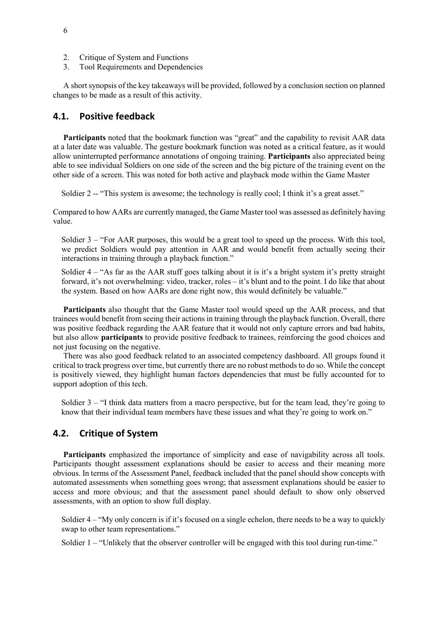- 2. Critique of System and Functions
- 3. Tool Requirements and Dependencies

A short synopsis of the key takeaways will be provided, followed by a conclusion section on planned changes to be made as a result of this activity.

### **4.1. Positive feedback**

Participants noted that the bookmark function was "great" and the capability to revisit AAR data at a later date was valuable. The gesture bookmark function was noted as a critical feature, as it would allow uninterrupted performance annotations of ongoing training. **Participants** also appreciated being able to see individual Soldiers on one side of the screen and the big picture of the training event on the other side of a screen. This was noted for both active and playback mode within the Game Master

Soldier 2 -- "This system is awesome; the technology is really cool; I think it's a great asset."

Compared to how AARs are currently managed, the Game Master tool was assessed as definitely having value.

Soldier 3 – "For AAR purposes, this would be a great tool to speed up the process. With this tool, we predict Soldiers would pay attention in AAR and would benefit from actually seeing their interactions in training through a playback function."

Soldier  $4 - 4$  Ks far as the AAR stuff goes talking about it is it's a bright system it's pretty straight forward, it's not overwhelming: video, tracker, roles – it's blunt and to the point. I do like that about the system. Based on how AARs are done right now, this would definitely be valuable."

**Participants** also thought that the Game Master tool would speed up the AAR process, and that trainees would benefit from seeing their actions in training through the playback function. Overall, there was positive feedback regarding the AAR feature that it would not only capture errors and bad habits, but also allow **participants** to provide positive feedback to trainees, reinforcing the good choices and not just focusing on the negative.

There was also good feedback related to an associated competency dashboard. All groups found it critical to track progress over time, but currently there are no robust methods to do so. While the concept is positively viewed, they highlight human factors dependencies that must be fully accounted for to support adoption of this tech.

Soldier  $3 -$  "I think data matters from a macro perspective, but for the team lead, they're going to know that their individual team members have these issues and what they're going to work on."

## **4.2. Critique of System**

**Participants** emphasized the importance of simplicity and ease of navigability across all tools. Participants thought assessment explanations should be easier to access and their meaning more obvious. In terms of the Assessment Panel, feedback included that the panel should show concepts with automated assessments when something goes wrong; that assessment explanations should be easier to access and more obvious; and that the assessment panel should default to show only observed assessments, with an option to show full display.

Soldier 4 – "My only concern is if it's focused on a single echelon, there needs to be a way to quickly swap to other team representations."

Soldier 1 – "Unlikely that the observer controller will be engaged with this tool during run-time."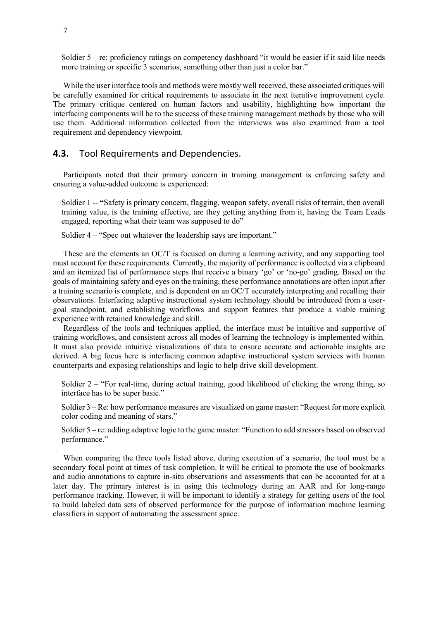Soldier  $5 - re$ : proficiency ratings on competency dashboard "it would be easier if it said like needs more training or specific 3 scenarios, something other than just a color bar."

While the user interface tools and methods were mostly well received, these associated critiques will be carefully examined for critical requirements to associate in the next iterative improvement cycle. The primary critique centered on human factors and usability, highlighting how important the interfacing components will be to the success of these training management methods by those who will use them. Additional information collected from the interviews was also examined from a tool requirement and dependency viewpoint.

### **4.3.** Tool Requirements and Dependencies.

Participants noted that their primary concern in training management is enforcing safety and ensuring a value-added outcome is experienced:

Soldier 1 -- **"**Safety is primary concern, flagging, weapon safety, overall risks of terrain, then overall training value, is the training effective, are they getting anything from it, having the Team Leads engaged, reporting what their team was supposed to do"

Soldier 4 – "Spec out whatever the leadership says are important."

These are the elements an OC/T is focused on during a learning activity, and any supporting tool must account for these requirements. Currently, the majority of performance is collected via a clipboard and an itemized list of performance steps that receive a binary 'go' or 'no-go' grading. Based on the goals of maintaining safety and eyes on the training, these performance annotations are often input after a training scenario is complete, and is dependent on an OC/T accurately interpreting and recalling their observations. Interfacing adaptive instructional system technology should be introduced from a usergoal standpoint, and establishing workflows and support features that produce a viable training experience with retained knowledge and skill.

Regardless of the tools and techniques applied, the interface must be intuitive and supportive of training workflows, and consistent across all modes of learning the technology is implemented within. It must also provide intuitive visualizations of data to ensure accurate and actionable insights are derived. A big focus here is interfacing common adaptive instructional system services with human counterparts and exposing relationships and logic to help drive skill development.

Soldier  $2 -$  "For real-time, during actual training, good likelihood of clicking the wrong thing, so interface has to be super basic."

Soldier 3 – Re: how performance measures are visualized on game master: "Request for more explicit color coding and meaning of stars."

Soldier 5 – re: adding adaptive logic to the game master: "Function to add stressors based on observed performance."

When comparing the three tools listed above, during execution of a scenario, the tool must be a secondary focal point at times of task completion. It will be critical to promote the use of bookmarks and audio annotations to capture in-situ observations and assessments that can be accounted for at a later day. The primary interest is in using this technology during an AAR and for long-range performance tracking. However, it will be important to identify a strategy for getting users of the tool to build labeled data sets of observed performance for the purpose of information machine learning classifiers in support of automating the assessment space.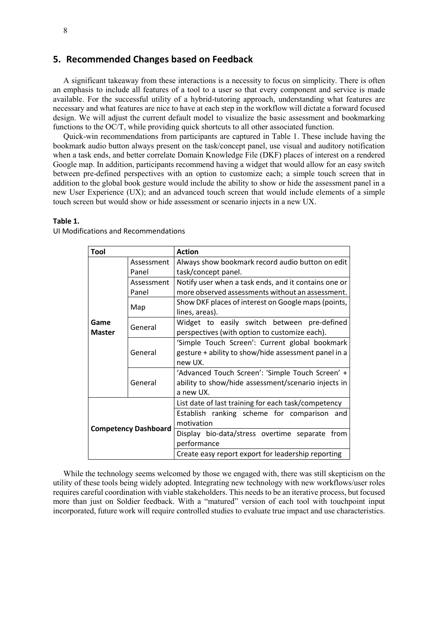### **5. Recommended Changes based on Feedback**

A significant takeaway from these interactions is a necessity to focus on simplicity. There is often an emphasis to include all features of a tool to a user so that every component and service is made available. For the successful utility of a hybrid-tutoring approach, understanding what features are necessary and what features are nice to have at each step in the workflow will dictate a forward focused design. We will adjust the current default model to visualize the basic assessment and bookmarking functions to the OC/T, while providing quick shortcuts to all other associated function.

Quick-win recommendations from participants are captured in Table 1. These include having the bookmark audio button always present on the task/concept panel, use visual and auditory notification when a task ends, and better correlate Domain Knowledge File (DKF) places of interest on a rendered Google map. In addition, participants recommend having a widget that would allow for an easy switch between pre-defined perspectives with an option to customize each; a simple touch screen that in addition to the global book gesture would include the ability to show or hide the assessment panel in a new User Experience (UX); and an advanced touch screen that would include elements of a simple touch screen but would show or hide assessment or scenario injects in a new UX.

#### **Table 1.**

| Tool                                                          |            | <b>Action</b>                                        |  |  |  |  |  |  |
|---------------------------------------------------------------|------------|------------------------------------------------------|--|--|--|--|--|--|
|                                                               | Assessment | Always show bookmark record audio button on edit     |  |  |  |  |  |  |
| Panel<br>Assessment<br>Panel                                  |            | task/concept panel.                                  |  |  |  |  |  |  |
|                                                               |            | Notify user when a task ends, and it contains one or |  |  |  |  |  |  |
|                                                               |            | more observed assessments without an assessment.     |  |  |  |  |  |  |
| Map<br>Game<br>General<br><b>Master</b><br>General<br>General |            | Show DKF places of interest on Google maps (points,  |  |  |  |  |  |  |
|                                                               |            | lines, areas).                                       |  |  |  |  |  |  |
|                                                               |            | Widget to easily switch between pre-defined          |  |  |  |  |  |  |
|                                                               |            | perspectives (with option to customize each).        |  |  |  |  |  |  |
|                                                               |            | 'Simple Touch Screen': Current global bookmark       |  |  |  |  |  |  |
|                                                               |            | gesture + ability to show/hide assessment panel in a |  |  |  |  |  |  |
|                                                               |            | new UX.                                              |  |  |  |  |  |  |
|                                                               |            | 'Advanced Touch Screen': 'Simple Touch Screen' +     |  |  |  |  |  |  |
|                                                               |            | ability to show/hide assessment/scenario injects in  |  |  |  |  |  |  |
|                                                               |            | a new UX.                                            |  |  |  |  |  |  |
| <b>Competency Dashboard</b>                                   |            | List date of last training for each task/competency  |  |  |  |  |  |  |
|                                                               |            | Establish ranking scheme for comparison and          |  |  |  |  |  |  |
|                                                               |            | motivation                                           |  |  |  |  |  |  |
|                                                               |            | Display bio-data/stress overtime separate from       |  |  |  |  |  |  |
|                                                               |            | performance                                          |  |  |  |  |  |  |
|                                                               |            | Create easy report export for leadership reporting   |  |  |  |  |  |  |

UI Modifications and Recommendations

While the technology seems welcomed by those we engaged with, there was still skepticism on the utility of these tools being widely adopted. Integrating new technology with new workflows/user roles requires careful coordination with viable stakeholders. This needs to be an iterative process, but focused more than just on Soldier feedback. With a "matured" version of each tool with touchpoint input incorporated, future work will require controlled studies to evaluate true impact and use characteristics.